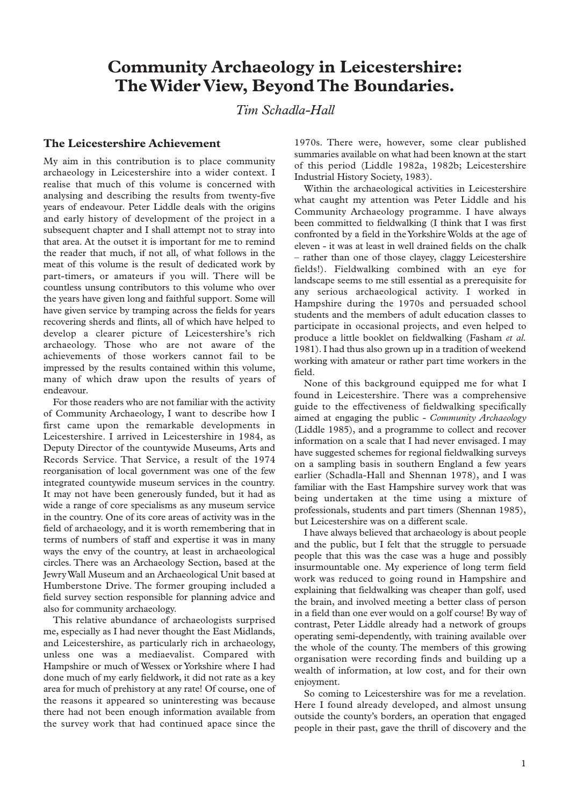# **Community Archaeology in Leicestershire: The Wider View, Beyond The Boundaries.**

*Tim Schadla-Hall*

# **The Leicestershire Achievement**

My aim in this contribution is to place community archaeology in Leicestershire into a wider context. I realise that much of this volume is concerned with analysing and describing the results from twenty-five years of endeavour. Peter Liddle deals with the origins and early history of development of the project in a subsequent chapter and I shall attempt not to stray into that area. At the outset it is important for me to remind the reader that much, if not all, of what follows in the meat of this volume is the result of dedicated work by part-timers, or amateurs if you will. There will be countless unsung contributors to this volume who over the years have given long and faithful support. Some will have given service by tramping across the fields for years recovering sherds and flints, all of which have helped to develop a clearer picture of Leicestershire's rich archaeology. Those who are not aware of the achievements of those workers cannot fail to be impressed by the results contained within this volume, many of which draw upon the results of years of endeavour.

For those readers who are not familiar with the activity of Community Archaeology, I want to describe how I first came upon the remarkable developments in Leicestershire. I arrived in Leicestershire in 1984, as Deputy Director of the countywide Museums, Arts and Records Service. That Service, a result of the 1974 reorganisation of local government was one of the few integrated countywide museum services in the country. It may not have been generously funded, but it had as wide a range of core specialisms as any museum service in the country. One of its core areas of activity was in the field of archaeology, and it is worth remembering that in terms of numbers of staff and expertise it was in many ways the envy of the country, at least in archaeological circles. There was an Archaeology Section, based at the Jewry Wall Museum and an Archaeological Unit based at Humberstone Drive. The former grouping included a field survey section responsible for planning advice and also for community archaeology.

This relative abundance of archaeologists surprised me, especially as I had never thought the East Midlands, and Leicestershire, as particularly rich in archaeology, unless one was a mediaevalist. Compared with Hampshire or much of Wessex or Yorkshire where I had done much of my early fieldwork, it did not rate as a key area for much of prehistory at any rate! Of course, one of the reasons it appeared so uninteresting was because there had not been enough information available from the survey work that had continued apace since the

1970s. There were, however, some clear published summaries available on what had been known at the start of this period (Liddle 1982a, 1982b; Leicestershire Industrial History Society, 1983).

Within the archaeological activities in Leicestershire what caught my attention was Peter Liddle and his Community Archaeology programme. I have always been committed to fieldwalking (I think that I was first confronted by a field in the Yorkshire Wolds at the age of eleven - it was at least in well drained fields on the chalk – rather than one of those clayey, claggy Leicestershire fields!). Fieldwalking combined with an eye for landscape seems to me still essential as a prerequisite for any serious archaeological activity. I worked in Hampshire during the 1970s and persuaded school students and the members of adult education classes to participate in occasional projects, and even helped to produce a little booklet on fieldwalking (Fasham *et al.* 1981). I had thus also grown up in a tradition of weekend working with amateur or rather part time workers in the field.

None of this background equipped me for what I found in Leicestershire. There was a comprehensive guide to the effectiveness of fieldwalking specifically aimed at engaging the public - *Community Archaeology* (Liddle 1985), and a programme to collect and recover information on a scale that I had never envisaged. I may have suggested schemes for regional fieldwalking surveys on a sampling basis in southern England a few years earlier (Schadla-Hall and Shennan 1978), and I was familiar with the East Hampshire survey work that was being undertaken at the time using a mixture of professionals, students and part timers (Shennan 1985), but Leicestershire was on a different scale.

I have always believed that archaeology is about people and the public, but I felt that the struggle to persuade people that this was the case was a huge and possibly insurmountable one. My experience of long term field work was reduced to going round in Hampshire and explaining that fieldwalking was cheaper than golf, used the brain, and involved meeting a better class of person in a field than one ever would on a golf course! By way of contrast, Peter Liddle already had a network of groups operating semi-dependently, with training available over the whole of the county. The members of this growing organisation were recording finds and building up a wealth of information, at low cost, and for their own enjoyment.

So coming to Leicestershire was for me a revelation. Here I found already developed, and almost unsung outside the county's borders, an operation that engaged people in their past, gave the thrill of discovery and the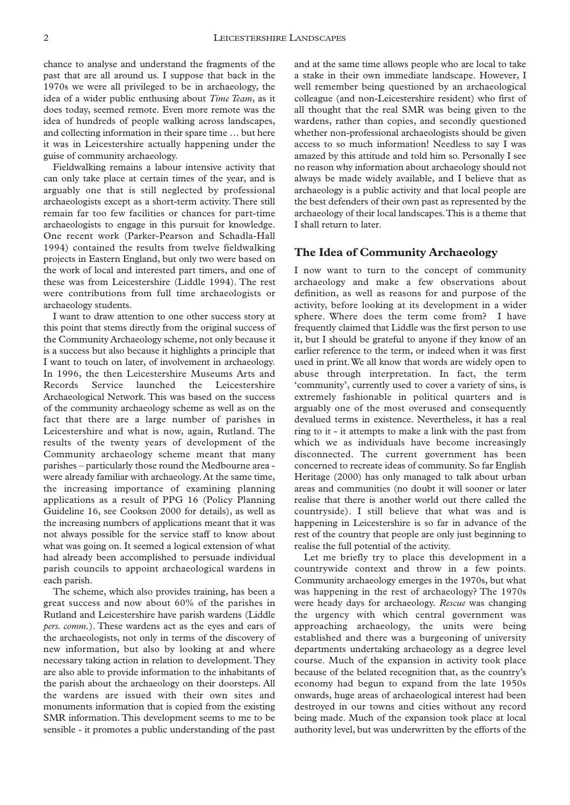chance to analyse and understand the fragments of the past that are all around us. I suppose that back in the 1970s we were all privileged to be in archaeology, the idea of a wider public enthusing about *Time Team*, as it does today, seemed remote. Even more remote was the idea of hundreds of people walking across landscapes, and collecting information in their spare time … but here it was in Leicestershire actually happening under the guise of community archaeology.

Fieldwalking remains a labour intensive activity that can only take place at certain times of the year, and is arguably one that is still neglected by professional archaeologists except as a short-term activity. There still remain far too few facilities or chances for part-time archaeologists to engage in this pursuit for knowledge. One recent work (Parker-Pearson and Schadla-Hall 1994) contained the results from twelve fieldwalking projects in Eastern England, but only two were based on the work of local and interested part timers, and one of these was from Leicestershire (Liddle 1994). The rest were contributions from full time archaeologists or archaeology students.

I want to draw attention to one other success story at this point that stems directly from the original success of the Community Archaeology scheme, not only because it is a success but also because it highlights a principle that I want to touch on later, of involvement in archaeology. In 1996, the then Leicestershire Museums Arts and Records Service launched the Leicestershire Archaeological Network. This was based on the success of the community archaeology scheme as well as on the fact that there are a large number of parishes in Leicestershire and what is now, again, Rutland. The results of the twenty years of development of the Community archaeology scheme meant that many parishes – particularly those round the Medbourne area were already familiar with archaeology. At the same time, the increasing importance of examining planning applications as a result of PPG 16 (Policy Planning Guideline 16, see Cookson 2000 for details), as well as the increasing numbers of applications meant that it was not always possible for the service staff to know about what was going on. It seemed a logical extension of what had already been accomplished to persuade individual parish councils to appoint archaeological wardens in each parish.

The scheme, which also provides training, has been a great success and now about 60% of the parishes in Rutland and Leicestershire have parish wardens (Liddle *pers. comm.*). These wardens act as the eyes and ears of the archaeologists, not only in terms of the discovery of new information, but also by looking at and where necessary taking action in relation to development.They are also able to provide information to the inhabitants of the parish about the archaeology on their doorsteps. All the wardens are issued with their own sites and monuments information that is copied from the existing SMR information. This development seems to me to be sensible - it promotes a public understanding of the past

and at the same time allows people who are local to take a stake in their own immediate landscape. However, I well remember being questioned by an archaeological colleague (and non-Leicestershire resident) who first of all thought that the real SMR was being given to the wardens, rather than copies, and secondly questioned whether non-professional archaeologists should be given access to so much information! Needless to say I was amazed by this attitude and told him so. Personally I see no reason why information about archaeology should not always be made widely available, and I believe that as archaeology is a public activity and that local people are the best defenders of their own past as represented by the archaeology of their local landscapes.This is a theme that I shall return to later.

#### **The Idea of Community Archaeology**

I now want to turn to the concept of community archaeology and make a few observations about definition, as well as reasons for and purpose of the activity, before looking at its development in a wider sphere. Where does the term come from? I have frequently claimed that Liddle was the first person to use it, but I should be grateful to anyone if they know of an earlier reference to the term, or indeed when it was first used in print.We all know that words are widely open to abuse through interpretation. In fact, the term 'community', currently used to cover a variety of sins, is extremely fashionable in political quarters and is arguably one of the most overused and consequently devalued terms in existence. Nevertheless, it has a real ring to it - it attempts to make a link with the past from which we as individuals have become increasingly disconnected. The current government has been concerned to recreate ideas of community. So far English Heritage (2000) has only managed to talk about urban areas and communities (no doubt it will sooner or later realise that there is another world out there called the countryside). I still believe that what was and is happening in Leicestershire is so far in advance of the rest of the country that people are only just beginning to realise the full potential of the activity.

Let me briefly try to place this development in a countrywide context and throw in a few points. Community archaeology emerges in the 1970s, but what was happening in the rest of archaeology? The 1970s were heady days for archaeology. *Rescue* was changing the urgency with which central government was approaching archaeology, the units were being established and there was a burgeoning of university departments undertaking archaeology as a degree level course. Much of the expansion in activity took place because of the belated recognition that, as the country's economy had begun to expand from the late 1950s onwards, huge areas of archaeological interest had been destroyed in our towns and cities without any record being made. Much of the expansion took place at local authority level, but was underwritten by the efforts of the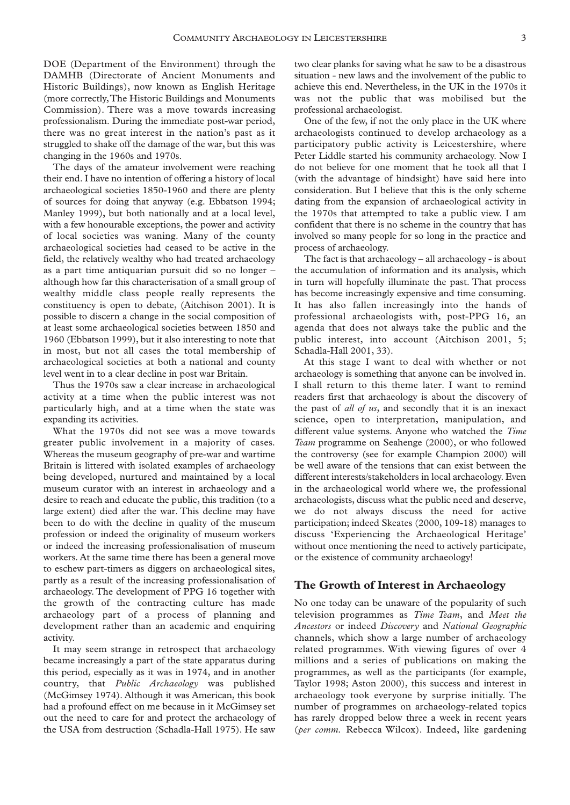DOE (Department of the Environment) through the DAMHB (Directorate of Ancient Monuments and Historic Buildings), now known as English Heritage (more correctly,The Historic Buildings and Monuments Commission). There was a move towards increasing professionalism. During the immediate post-war period, there was no great interest in the nation's past as it struggled to shake off the damage of the war, but this was changing in the 1960s and 1970s.

The days of the amateur involvement were reaching their end. I have no intention of offering a history of local archaeological societies 1850-1960 and there are plenty of sources for doing that anyway (e.g. Ebbatson 1994; Manley 1999), but both nationally and at a local level, with a few honourable exceptions, the power and activity of local societies was waning. Many of the county archaeological societies had ceased to be active in the field, the relatively wealthy who had treated archaeology as a part time antiquarian pursuit did so no longer – although how far this characterisation of a small group of wealthy middle class people really represents the constituency is open to debate, (Aitchison 2001). It is possible to discern a change in the social composition of at least some archaeological societies between 1850 and 1960 (Ebbatson 1999), but it also interesting to note that in most, but not all cases the total membership of archaeological societies at both a national and county level went in to a clear decline in post war Britain.

Thus the 1970s saw a clear increase in archaeological activity at a time when the public interest was not particularly high, and at a time when the state was expanding its activities.

What the 1970s did not see was a move towards greater public involvement in a majority of cases. Whereas the museum geography of pre-war and wartime Britain is littered with isolated examples of archaeology being developed, nurtured and maintained by a local museum curator with an interest in archaeology and a desire to reach and educate the public, this tradition (to a large extent) died after the war. This decline may have been to do with the decline in quality of the museum profession or indeed the originality of museum workers or indeed the increasing professionalisation of museum workers. At the same time there has been a general move to eschew part-timers as diggers on archaeological sites, partly as a result of the increasing professionalisation of archaeology. The development of PPG 16 together with the growth of the contracting culture has made archaeology part of a process of planning and development rather than an academic and enquiring activity.

It may seem strange in retrospect that archaeology became increasingly a part of the state apparatus during this period, especially as it was in 1974, and in another country, that *Public Archaeology* was published (McGimsey 1974). Although it was American, this book had a profound effect on me because in it McGimsey set out the need to care for and protect the archaeology of the USA from destruction (Schadla-Hall 1975). He saw

two clear planks for saving what he saw to be a disastrous situation - new laws and the involvement of the public to achieve this end. Nevertheless, in the UK in the 1970s it was not the public that was mobilised but the professional archaeologist.

One of the few, if not the only place in the UK where archaeologists continued to develop archaeology as a participatory public activity is Leicestershire, where Peter Liddle started his community archaeology. Now I do not believe for one moment that he took all that I (with the advantage of hindsight) have said here into consideration. But I believe that this is the only scheme dating from the expansion of archaeological activity in the 1970s that attempted to take a public view. I am confident that there is no scheme in the country that has involved so many people for so long in the practice and process of archaeology.

The fact is that archaeology – all archaeology - is about the accumulation of information and its analysis, which in turn will hopefully illuminate the past. That process has become increasingly expensive and time consuming. It has also fallen increasingly into the hands of professional archaeologists with, post-PPG 16, an agenda that does not always take the public and the public interest, into account (Aitchison 2001, 5; Schadla-Hall 2001, 33).

At this stage I want to deal with whether or not archaeology is something that anyone can be involved in. I shall return to this theme later. I want to remind readers first that archaeology is about the discovery of the past of *all of us*, and secondly that it is an inexact science, open to interpretation, manipulation, and different value systems. Anyone who watched the *Time Team* programme on Seahenge (2000), or who followed the controversy (see for example Champion 2000) will be well aware of the tensions that can exist between the different interests/stakeholders in local archaeology. Even in the archaeological world where we, the professional archaeologists, discuss what the public need and deserve, we do not always discuss the need for active participation; indeed Skeates (2000, 109-18) manages to discuss 'Experiencing the Archaeological Heritage' without once mentioning the need to actively participate, or the existence of community archaeology!

### **The Growth of Interest in Archaeology**

No one today can be unaware of the popularity of such television programmes as *Time Team*, and *Meet the Ancestors* or indeed *Discovery* and *National Geographic* channels, which show a large number of archaeology related programmes. With viewing figures of over 4 millions and a series of publications on making the programmes, as well as the participants (for example, Taylor 1998; Aston 2000), this success and interest in archaeology took everyone by surprise initially. The number of programmes on archaeology-related topics has rarely dropped below three a week in recent years (*per comm.* Rebecca Wilcox). Indeed, like gardening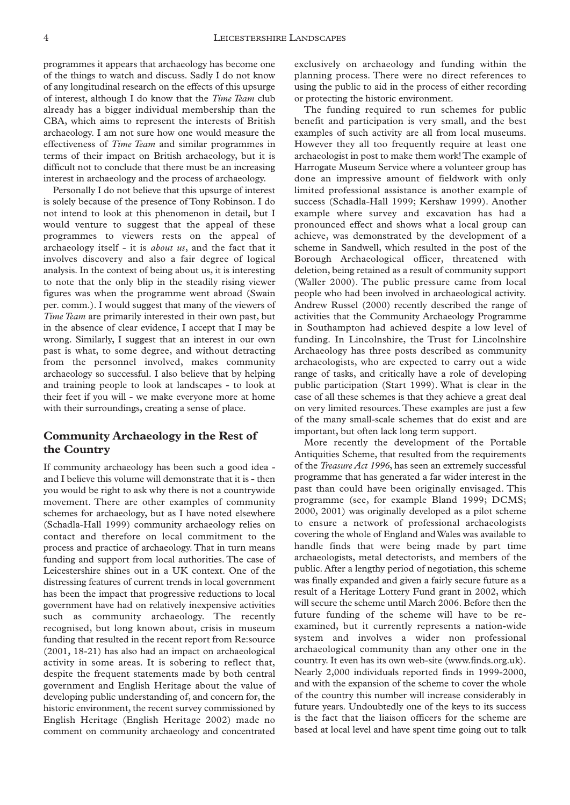programmes it appears that archaeology has become one of the things to watch and discuss. Sadly I do not know of any longitudinal research on the effects of this upsurge of interest, although I do know that the *Time Team* club already has a bigger individual membership than the CBA, which aims to represent the interests of British archaeology. I am not sure how one would measure the effectiveness of *Time Team* and similar programmes in terms of their impact on British archaeology, but it is difficult not to conclude that there must be an increasing interest in archaeology and the process of archaeology.

Personally I do not believe that this upsurge of interest is solely because of the presence of Tony Robinson. I do not intend to look at this phenomenon in detail, but I would venture to suggest that the appeal of these programmes to viewers rests on the appeal of archaeology itself - it is *about us*, and the fact that it involves discovery and also a fair degree of logical analysis. In the context of being about us, it is interesting to note that the only blip in the steadily rising viewer figures was when the programme went abroad (Swain per. comm.). I would suggest that many of the viewers of *Time Team* are primarily interested in their own past, but in the absence of clear evidence, I accept that I may be wrong. Similarly, I suggest that an interest in our own past is what, to some degree, and without detracting from the personnel involved, makes community archaeology so successful. I also believe that by helping and training people to look at landscapes - to look at their feet if you will - we make everyone more at home with their surroundings, creating a sense of place.

# **Community Archaeology in the Rest of the Country**

If community archaeology has been such a good idea and I believe this volume will demonstrate that it is - then you would be right to ask why there is not a countrywide movement. There are other examples of community schemes for archaeology, but as I have noted elsewhere (Schadla-Hall 1999) community archaeology relies on contact and therefore on local commitment to the process and practice of archaeology. That in turn means funding and support from local authorities. The case of Leicestershire shines out in a UK context. One of the distressing features of current trends in local government has been the impact that progressive reductions to local government have had on relatively inexpensive activities such as community archaeology. The recently recognised, but long known about, crisis in museum funding that resulted in the recent report from Re:source (2001, 18-21) has also had an impact on archaeological activity in some areas. It is sobering to reflect that, despite the frequent statements made by both central government and English Heritage about the value of developing public understanding of, and concern for, the historic environment, the recent survey commissioned by English Heritage (English Heritage 2002) made no comment on community archaeology and concentrated

exclusively on archaeology and funding within the planning process. There were no direct references to using the public to aid in the process of either recording or protecting the historic environment.

The funding required to run schemes for public benefit and participation is very small, and the best examples of such activity are all from local museums. However they all too frequently require at least one archaeologist in post to make them work! The example of Harrogate Museum Service where a volunteer group has done an impressive amount of fieldwork with only limited professional assistance is another example of success (Schadla-Hall 1999; Kershaw 1999). Another example where survey and excavation has had a pronounced effect and shows what a local group can achieve, was demonstrated by the development of a scheme in Sandwell, which resulted in the post of the Borough Archaeological officer, threatened with deletion, being retained as a result of community support (Waller 2000). The public pressure came from local people who had been involved in archaeological activity. Andrew Russel (2000) recently described the range of activities that the Community Archaeology Programme in Southampton had achieved despite a low level of funding. In Lincolnshire, the Trust for Lincolnshire Archaeology has three posts described as community archaeologists, who are expected to carry out a wide range of tasks, and critically have a role of developing public participation (Start 1999). What is clear in the case of all these schemes is that they achieve a great deal on very limited resources. These examples are just a few of the many small-scale schemes that do exist and are important, but often lack long term support.

More recently the development of the Portable Antiquities Scheme, that resulted from the requirements of the *Treasure Act 1996*, has seen an extremely successful programme that has generated a far wider interest in the past than could have been originally envisaged. This programme (see, for example Bland 1999; DCMS; 2000, 2001) was originally developed as a pilot scheme to ensure a network of professional archaeologists covering the whole of England and Wales was available to handle finds that were being made by part time archaeologists, metal detectorists, and members of the public. After a lengthy period of negotiation, this scheme was finally expanded and given a fairly secure future as a result of a Heritage Lottery Fund grant in 2002, which will secure the scheme until March 2006. Before then the future funding of the scheme will have to be reexamined, but it currently represents a nation-wide system and involves a wider non professional archaeological community than any other one in the country. It even has its own web-site (www.finds.org.uk). Nearly 2,000 individuals reported finds in 1999-2000, and with the expansion of the scheme to cover the whole of the country this number will increase considerably in future years. Undoubtedly one of the keys to its success is the fact that the liaison officers for the scheme are based at local level and have spent time going out to talk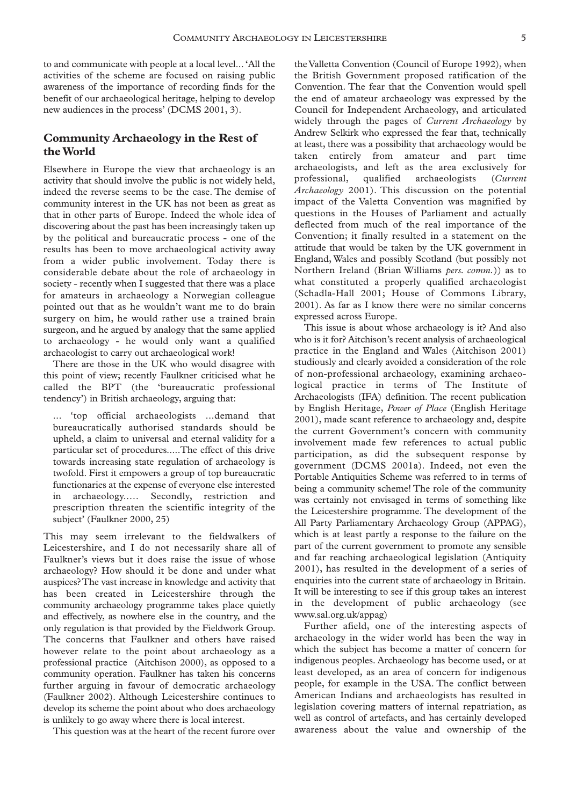to and communicate with people at a local level... 'All the activities of the scheme are focused on raising public awareness of the importance of recording finds for the benefit of our archaeological heritage, helping to develop new audiences in the process' (DCMS 2001, 3).

# **Community Archaeology in the Rest of the World**

Elsewhere in Europe the view that archaeology is an activity that should involve the public is not widely held, indeed the reverse seems to be the case. The demise of community interest in the UK has not been as great as that in other parts of Europe. Indeed the whole idea of discovering about the past has been increasingly taken up by the political and bureaucratic process - one of the results has been to move archaeological activity away from a wider public involvement. Today there is considerable debate about the role of archaeology in society - recently when I suggested that there was a place for amateurs in archaeology a Norwegian colleague pointed out that as he wouldn't want me to do brain surgery on him, he would rather use a trained brain surgeon, and he argued by analogy that the same applied to archaeology - he would only want a qualified archaeologist to carry out archaeological work!

There are those in the UK who would disagree with this point of view; recently Faulkner criticised what he called the BPT (the 'bureaucratic professional tendency') in British archaeology, arguing that:

... 'top official archaeologists ...demand that bureaucratically authorised standards should be upheld, a claim to universal and eternal validity for a particular set of procedures.....The effect of this drive towards increasing state regulation of archaeology is twofold. First it empowers a group of top bureaucratic functionaries at the expense of everyone else interested in archaeology..… Secondly, restriction and prescription threaten the scientific integrity of the subject' (Faulkner 2000, 25)

This may seem irrelevant to the fieldwalkers of Leicestershire, and I do not necessarily share all of Faulkner's views but it does raise the issue of whose archaeology? How should it be done and under what auspices? The vast increase in knowledge and activity that has been created in Leicestershire through the community archaeology programme takes place quietly and effectively, as nowhere else in the country, and the only regulation is that provided by the Fieldwork Group. The concerns that Faulkner and others have raised however relate to the point about archaeology as a professional practice (Aitchison 2000), as opposed to a community operation. Faulkner has taken his concerns further arguing in favour of democratic archaeology (Faulkner 2002). Although Leicestershire continues to develop its scheme the point about who does archaeology is unlikely to go away where there is local interest.

This question was at the heart of the recent furore over

the Valletta Convention (Council of Europe 1992), when the British Government proposed ratification of the Convention. The fear that the Convention would spell the end of amateur archaeology was expressed by the Council for Independent Archaeology, and articulated widely through the pages of *Current Archaeology* by Andrew Selkirk who expressed the fear that, technically at least, there was a possibility that archaeology would be taken entirely from amateur and part time archaeologists, and left as the area exclusively for professional, qualified archaeologists (*Current Archaeology* 2001). This discussion on the potential impact of the Valetta Convention was magnified by questions in the Houses of Parliament and actually deflected from much of the real importance of the Convention; it finally resulted in a statement on the attitude that would be taken by the UK government in England, Wales and possibly Scotland (but possibly not Northern Ireland (Brian Williams *pers. comm.*)) as to what constituted a properly qualified archaeologist (Schadla-Hall 2001; House of Commons Library, 2001). As far as I know there were no similar concerns expressed across Europe.

This issue is about whose archaeology is it? And also who is it for? Aitchison's recent analysis of archaeological practice in the England and Wales (Aitchison 2001) studiously and clearly avoided a consideration of the role of non-professional archaeology, examining archaeological practice in terms of The Institute of Archaeologists (IFA) definition. The recent publication by English Heritage, *Power of Place* (English Heritage 2001), made scant reference to archaeology and, despite the current Government's concern with community involvement made few references to actual public participation, as did the subsequent response by government (DCMS 2001a). Indeed, not even the Portable Antiquities Scheme was referred to in terms of being a community scheme! The role of the community was certainly not envisaged in terms of something like the Leicestershire programme. The development of the All Party Parliamentary Archaeology Group (APPAG), which is at least partly a response to the failure on the part of the current government to promote any sensible and far reaching archaeological legislation (Antiquity 2001), has resulted in the development of a series of enquiries into the current state of archaeology in Britain. It will be interesting to see if this group takes an interest in the development of public archaeology (see www.sal.org.uk/appag)

Further afield, one of the interesting aspects of archaeology in the wider world has been the way in which the subject has become a matter of concern for indigenous peoples. Archaeology has become used, or at least developed, as an area of concern for indigenous people, for example in the USA. The conflict between American Indians and archaeologists has resulted in legislation covering matters of internal repatriation, as well as control of artefacts, and has certainly developed awareness about the value and ownership of the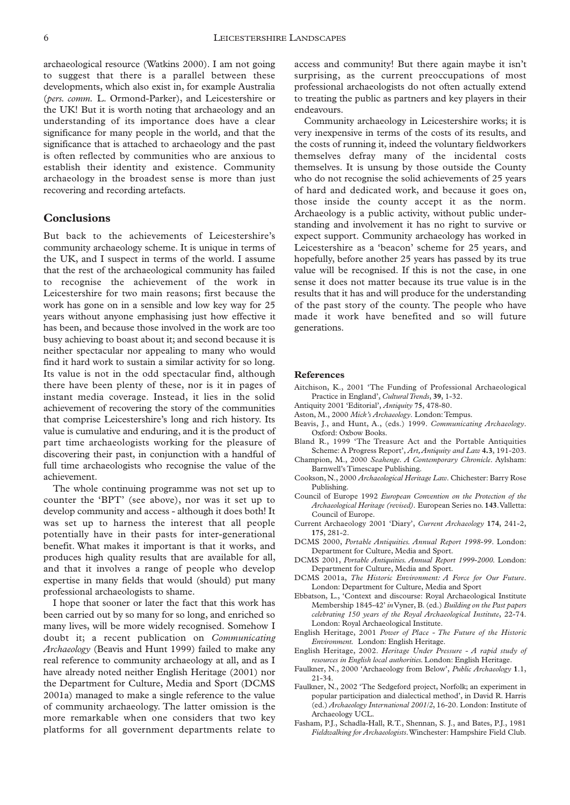archaeological resource (Watkins 2000). I am not going to suggest that there is a parallel between these developments, which also exist in, for example Australia (*pers. comm.* L. Ormond-Parker), and Leicestershire or the UK! But it is worth noting that archaeology and an understanding of its importance does have a clear significance for many people in the world, and that the significance that is attached to archaeology and the past is often reflected by communities who are anxious to establish their identity and existence. Community archaeology in the broadest sense is more than just recovering and recording artefacts.

## **Conclusions**

But back to the achievements of Leicestershire's community archaeology scheme. It is unique in terms of the UK, and I suspect in terms of the world. I assume that the rest of the archaeological community has failed to recognise the achievement of the work in Leicestershire for two main reasons; first because the work has gone on in a sensible and low key way for 25 years without anyone emphasising just how effective it has been, and because those involved in the work are too busy achieving to boast about it; and second because it is neither spectacular nor appealing to many who would find it hard work to sustain a similar activity for so long. Its value is not in the odd spectacular find, although there have been plenty of these, nor is it in pages of instant media coverage. Instead, it lies in the solid achievement of recovering the story of the communities that comprise Leicestershire's long and rich history. Its value is cumulative and enduring, and it is the product of part time archaeologists working for the pleasure of discovering their past, in conjunction with a handful of full time archaeologists who recognise the value of the achievement.

The whole continuing programme was not set up to counter the 'BPT' (see above), nor was it set up to develop community and access - although it does both! It was set up to harness the interest that all people potentially have in their pasts for inter-generational benefit. What makes it important is that it works, and produces high quality results that are available for all, and that it involves a range of people who develop expertise in many fields that would (should) put many professional archaeologists to shame.

I hope that sooner or later the fact that this work has been carried out by so many for so long, and enriched so many lives, will be more widely recognised. Somehow I doubt it; a recent publication on *Communicating Archaeology* (Beavis and Hunt 1999) failed to make any real reference to community archaeology at all, and as I have already noted neither English Heritage (2001) nor the Department for Culture, Media and Sport (DCMS 2001a) managed to make a single reference to the value of community archaeology. The latter omission is the more remarkable when one considers that two key platforms for all government departments relate to

access and community! But there again maybe it isn't surprising, as the current preoccupations of most professional archaeologists do not often actually extend to treating the public as partners and key players in their endeavours.

Community archaeology in Leicestershire works; it is very inexpensive in terms of the costs of its results, and the costs of running it, indeed the voluntary fieldworkers themselves defray many of the incidental costs themselves. It is unsung by those outside the County who do not recognise the solid achievements of 25 years of hard and dedicated work, and because it goes on, those inside the county accept it as the norm. Archaeology is a public activity, without public understanding and involvement it has no right to survive or expect support. Community archaeology has worked in Leicestershire as a 'beacon' scheme for 25 years, and hopefully, before another 25 years has passed by its true value will be recognised. If this is not the case, in one sense it does not matter because its true value is in the results that it has and will produce for the understanding of the past story of the county. The people who have made it work have benefited and so will future generations.

#### **References**

- Aitchison, K., 2001 'The Funding of Professional Archaeological Practice in England', *Cultural Trends*, **39**, 1-32.
- Antiquity 2001 'Editorial', *Antiquity* **75**, 478-80.
- Aston, M., 2000 *Mick's Archaeology*. London:Tempus.
- Beavis, J., and Hunt, A., (eds.) 1999. *Communicating Archaeology*. Oxford: Oxbow Books.
- Bland R., 1999 'The Treasure Act and the Portable Antiquities Scheme: A Progress Report', *Art,Antiquity and Law* **4.3**, 191-203.
- Champion, M., 2000 *Seahenge. A Contemporary Chronicle*. Aylsham: Barnwell's Timescape Publishing.
- Cookson, N., 2000 *Archaeological Heritage Law*. Chichester: Barry Rose Publishing.
- Council of Europe 1992 *European Convention on the Protection of the Archaeological Heritage (revised).* European Series no. **143**.Valletta: Council of Europe.
- Current Archaeology 2001 'Diary', *Current Archaeology* **174**, 241-2, **175**, 281-2.
- DCMS 2000, *Portable Antiquities. Annual Report 1998-99*. London: Department for Culture, Media and Sport.
- DCMS 2001, *Portable Antiquities. Annual Report 1999-2000*. London: Department for Culture, Media and Sport.
- DCMS 2001a, *The Historic Environment: A Force for Our Future*. London: Department for Culture, Media and Sport
- Ebbatson, L., 'Context and discourse: Royal Archaeological Institute Membership 1845-42' *in*Vyner, B. (ed.) *Building on the Past papers celebrating 150 years of the Royal Archaeological Institute*, 22-74. London: Royal Archaeological Institute.
- English Heritage, 2001 *Power of Place The Future of the Historic Environment.* London: English Heritage.
- English Heritage, 2002. *Heritage Under Pressure A rapid study of resources in English local authorities.*London: English Heritage.
- Faulkner, N., 2000 'Archaeology from Below', *Public Archaeology* **1**.1, 21-34.
- Faulkner, N., 2002 'The Sedgeford project, Norfolk; an experiment in popular participation and dialectical method', in David R. Harris (ed.) *Archaeology International 2001/2*, 16-20. London: Institute of Archaeology UCL.
- Fasham, P.J., Schadla-Hall, R.T., Shennan, S. J., and Bates, P.J., 1981 *Fieldwalking for Archaeologists*.Winchester: Hampshire Field Club.